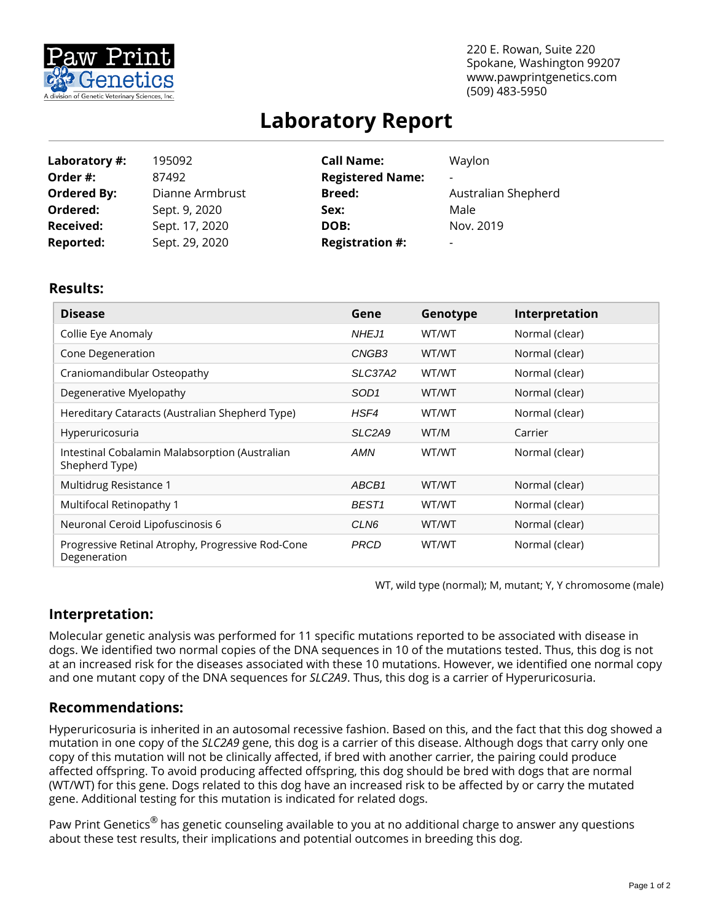

220 E. Rowan, Suite 220 Spokane, Washington 99207 www.pawprintgenetics.com (509) 483-5950

# **Laboratory Report**

| Laboratory #:      | 195092          | <b>Call Name:</b>       | Waylon              |
|--------------------|-----------------|-------------------------|---------------------|
| Order #:           | 87492           | <b>Registered Name:</b> |                     |
| <b>Ordered By:</b> | Dianne Armbrust | <b>Breed:</b>           | Australian Shepherd |
| Ordered:           | Sept. 9, 2020   | Sex:                    | Male                |
| <b>Received:</b>   | Sept. 17, 2020  | DOB:                    | Nov. 2019           |
| <b>Reported:</b>   | Sept. 29, 2020  | <b>Registration #:</b>  |                     |

### **Results:**

| <b>Disease</b>                                                    | Gene                            | Genotype | Interpretation |
|-------------------------------------------------------------------|---------------------------------|----------|----------------|
| Collie Eye Anomaly                                                | NHEJ1                           | WT/WT    | Normal (clear) |
| Cone Degeneration                                                 | CNGB <sub>3</sub>               | WT/WT    | Normal (clear) |
| Craniomandibular Osteopathy                                       | SLC37A2                         | WT/WT    | Normal (clear) |
| Degenerative Myelopathy                                           | SOD <sub>1</sub>                | WT/WT    | Normal (clear) |
| Hereditary Cataracts (Australian Shepherd Type)                   | HSF4                            | WT/WT    | Normal (clear) |
| Hyperuricosuria                                                   | SLC <sub>2</sub> A <sub>9</sub> | WT/M     | Carrier        |
| Intestinal Cobalamin Malabsorption (Australian<br>Shepherd Type)  | <b>AMN</b>                      | WT/WT    | Normal (clear) |
| Multidrug Resistance 1                                            | ABCB1                           | WT/WT    | Normal (clear) |
| Multifocal Retinopathy 1                                          | BEST <sub>1</sub>               | WT/WT    | Normal (clear) |
| Neuronal Ceroid Lipofuscinosis 6                                  | CLN <sub>6</sub>                | WT/WT    | Normal (clear) |
| Progressive Retinal Atrophy, Progressive Rod-Cone<br>Degeneration | <b>PRCD</b>                     | WT/WT    | Normal (clear) |

WT, wild type (normal); M, mutant; Y, Y chromosome (male)

## **Interpretation:**

Molecular genetic analysis was performed for 11 specific mutations reported to be associated with disease in dogs. We identified two normal copies of the DNA sequences in 10 of the mutations tested. Thus, this dog is not at an increased risk for the diseases associated with these 10 mutations. However, we identified one normal copy and one mutant copy of the DNA sequences for *SLC2A9*. Thus, this dog is a carrier of Hyperuricosuria.

## **Recommendations:**

Hyperuricosuria is inherited in an autosomal recessive fashion. Based on this, and the fact that this dog showed a mutation in one copy of the *SLC2A9* gene, this dog is a carrier of this disease. Although dogs that carry only one copy of this mutation will not be clinically affected, if bred with another carrier, the pairing could produce affected offspring. To avoid producing affected offspring, this dog should be bred with dogs that are normal (WT/WT) for this gene. Dogs related to this dog have an increased risk to be affected by or carry the mutated gene. Additional testing for this mutation is indicated for related dogs.

Paw Print Genetics<sup>®</sup> has genetic counseling available to you at no additional charge to answer any questions about these test results, their implications and potential outcomes in breeding this dog.